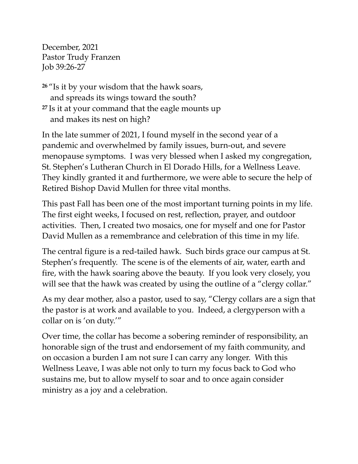December, 2021 Pastor Trudy Franzen Job 39:26-27

**<sup>26</sup>** "Is it by your wisdom that the hawk soars, and spreads its wings toward the south? **<sup>27</sup>** Is it at your command that the eagle mounts up and makes its nest on high?

In the late summer of 2021, I found myself in the second year of a pandemic and overwhelmed by family issues, burn-out, and severe menopause symptoms. I was very blessed when I asked my congregation, St. Stephen's Lutheran Church in El Dorado Hills, for a Wellness Leave. They kindly granted it and furthermore, we were able to secure the help of Retired Bishop David Mullen for three vital months.

This past Fall has been one of the most important turning points in my life. The first eight weeks, I focused on rest, reflection, prayer, and outdoor activities. Then, I created two mosaics, one for myself and one for Pastor David Mullen as a remembrance and celebration of this time in my life.

The central figure is a red-tailed hawk. Such birds grace our campus at St. Stephen's frequently. The scene is of the elements of air, water, earth and fire, with the hawk soaring above the beauty. If you look very closely, you will see that the hawk was created by using the outline of a "clergy collar."

As my dear mother, also a pastor, used to say, "Clergy collars are a sign that the pastor is at work and available to you. Indeed, a clergyperson with a collar on is 'on duty.'"

Over time, the collar has become a sobering reminder of responsibility, an honorable sign of the trust and endorsement of my faith community, and on occasion a burden I am not sure I can carry any longer. With this Wellness Leave, I was able not only to turn my focus back to God who sustains me, but to allow myself to soar and to once again consider ministry as a joy and a celebration.